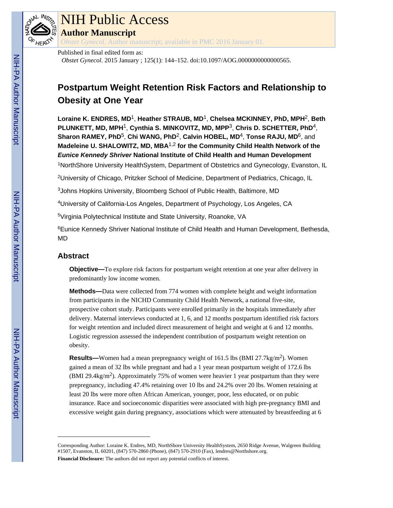

# NIH Public Access

**Author Manuscript**

*Obstet Gynecol*. Author manuscript; available in PMC 2016 January 01.

## Published in final edited form as:

*Obstet Gynecol*. 2015 January ; 125(1): 144–152. doi:10.1097/AOG.0000000000000565.

# **Postpartum Weight Retention Risk Factors and Relationship to Obesity at One Year**

**Loraine K. ENDRES, MD**1, **Heather STRAUB, MD**1, **Chelsea MCKINNEY, PhD, MPH**2, **Beth PLUNKETT, MD, MPH**1, **Cynthia S. MINKOVITZ, MD, MPP**3, **Chris D. SCHETTER, PhD**4, **Sharon RAMEY, PhD**5, **Chi WANG, PhD**2, **Calvin HOBEL, MD**4, **Tonse RAJU, MD**6, and **Madeleine U. SHALOWITZ, MD, MBA**1,2 **for the Community Child Health Network of the Eunice Kennedy Shriver National Institute of Child Health and Human Development** <sup>1</sup>NorthShore University HealthSystem, Department of Obstetrics and Gynecology, Evanston, IL

<sup>2</sup>University of Chicago, Pritzker School of Medicine, Department of Pediatrics, Chicago, IL

<sup>3</sup>Johns Hopkins University, Bloomberg School of Public Health, Baltimore, MD

<sup>4</sup>University of California-Los Angeles, Department of Psychology, Los Angeles, CA

<sup>5</sup>Virginia Polytechnical Institute and State University, Roanoke, VA

<sup>6</sup>Eunice Kennedy Shriver National Institute of Child Health and Human Development, Bethesda, MD

# **Abstract**

**Objective—To explore risk factors for postpartum weight retention at one year after delivery in** predominantly low income women.

**Methods—**Data were collected from 774 women with complete height and weight information from participants in the NICHD Community Child Health Network, a national five-site, prospective cohort study. Participants were enrolled primarily in the hospitals immediately after delivery. Maternal interviews conducted at 1, 6, and 12 months postpartum identified risk factors for weight retention and included direct measurement of height and weight at 6 and 12 months. Logistic regression assessed the independent contribution of postpartum weight retention on obesity.

**Results—**Women had a mean prepregnancy weight of 161.5 lbs (BMI 27.7kg/m<sup>2</sup>). Women gained a mean of 32 lbs while pregnant and had a 1 year mean postpartum weight of 172.6 lbs  $(BMI 29.4kg/m<sup>2</sup>)$ . Approximately 75% of women were heavier 1 year postpartum than they were prepregnancy, including 47.4% retaining over 10 lbs and 24.2% over 20 lbs. Women retaining at least 20 lbs were more often African American, younger, poor, less educated, or on pubic insurance. Race and socioeconomic disparities were associated with high pre-pregnancy BMI and excessive weight gain during pregnancy, associations which were attenuated by breastfeeding at 6

Corresponding Author: Loraine K. Endres, MD, NorthShore University HealthSystem, 2650 Ridge Avenue, Walgreen Building #1507, Evanston, IL 60201, (847) 570-2860 (Phone), (847) 570-2910 (Fax), lendres@Northshore.org. **Financial Disclosure:** The authors did not report any potential conflicts of interest.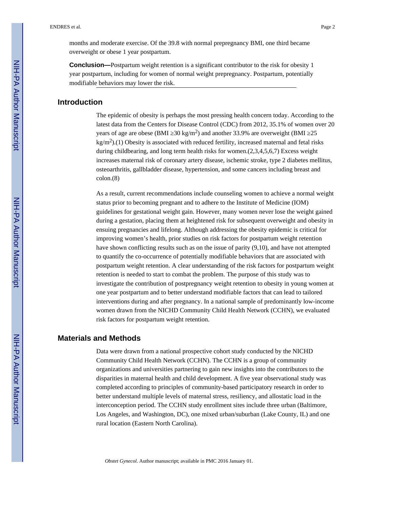months and moderate exercise. Of the 39.8 with normal prepregnancy BMI, one third became overweight or obese 1 year postpartum.

**Conclusion—**Postpartum weight retention is a significant contributor to the risk for obesity 1 year postpartum, including for women of normal weight prepregnancy. Postpartum, potentially modifiable behaviors may lower the risk.

# **Introduction**

The epidemic of obesity is perhaps the most pressing health concern today. According to the latest data from the Centers for Disease Control (CDC) from 2012, 35.1% of women over 20 years of age are obese (BMI  $30 \text{ kg/m}^2$ ) and another 33.9% are overweight (BMI  $25$  $\text{kg/m}^2$ ).(1) Obesity is associated with reduced fertility, increased maternal and fetal risks during childbearing, and long term health risks for women.(2,3,4,5,6,7) Excess weight increases maternal risk of coronary artery disease, ischemic stroke, type 2 diabetes mellitus, osteoarthritis, gallbladder disease, hypertension, and some cancers including breast and colon.(8)

As a result, current recommendations include counseling women to achieve a normal weight status prior to becoming pregnant and to adhere to the Institute of Medicine (IOM) guidelines for gestational weight gain. However, many women never lose the weight gained during a gestation, placing them at heightened risk for subsequent overweight and obesity in ensuing pregnancies and lifelong. Although addressing the obesity epidemic is critical for improving women's health, prior studies on risk factors for postpartum weight retention have shown conflicting results such as on the issue of parity (9,10), and have not attempted to quantify the co-occurrence of potentially modifiable behaviors that are associated with postpartum weight retention. A clear understanding of the risk factors for postpartum weight retention is needed to start to combat the problem. The purpose of this study was to investigate the contribution of postpregnancy weight retention to obesity in young women at one year postpartum and to better understand modifiable factors that can lead to tailored interventions during and after pregnancy. In a national sample of predominantly low-income women drawn from the NICHD Community Child Health Network (CCHN), we evaluated risk factors for postpartum weight retention.

#### **Materials and Methods**

Data were drawn from a national prospective cohort study conducted by the NICHD Community Child Health Network (CCHN). The CCHN is a group of community organizations and universities partnering to gain new insights into the contributors to the disparities in maternal health and child development. A five year observational study was completed according to principles of community-based participatory research in order to better understand multiple levels of maternal stress, resiliency, and allostatic load in the interconception period. The CCHN study enrollment sites include three urban (Baltimore, Los Angeles, and Washington, DC), one mixed urban/suburban (Lake County, IL) and one rural location (Eastern North Carolina).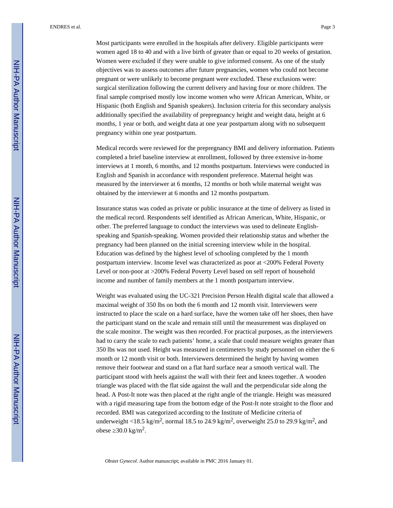ENDRES et al. Page 3

Most participants were enrolled in the hospitals after delivery. Eligible participants were women aged 18 to 40 and with a live birth of greater than or equal to 20 weeks of gestation. Women were excluded if they were unable to give informed consent. As one of the study objectives was to assess outcomes after future pregnancies, women who could not become pregnant or were unlikely to become pregnant were excluded. These exclusions were: surgical sterilization following the current delivery and having four or more children. The final sample comprised mostly low income women who were African American, White, or Hispanic (both English and Spanish speakers). Inclusion criteria for this secondary analysis additionally specified the availability of prepregnancy height and weight data, height at 6 months, 1 year or both, and weight data at one year postpartum along with no subsequent pregnancy within one year postpartum.

Medical records were reviewed for the prepregnancy BMI and delivery information. Patients completed a brief baseline interview at enrollment, followed by three extensive in-home interviews at 1 month, 6 months, and 12 months postpartum. Interviews were conducted in English and Spanish in accordance with respondent preference. Maternal height was measured by the interviewer at 6 months, 12 months or both while maternal weight was obtained by the interviewer at 6 months and 12 months postpartum.

Insurance status was coded as private or public insurance at the time of delivery as listed in the medical record. Respondents self identified as African American, White, Hispanic, or other. The preferred language to conduct the interviews was used to delineate Englishspeaking and Spanish-speaking. Women provided their relationship status and whether the pregnancy had been planned on the initial screening interview while in the hospital. Education was defined by the highest level of schooling completed by the 1 month postpartum interview. Income level was characterized as poor at <200% Federal Poverty Level or non-poor at >200% Federal Poverty Level based on self report of household income and number of family members at the 1 month postpartum interview.

Weight was evaluated using the UC-321 Precision Person Health digital scale that allowed a maximal weight of 350 lbs on both the 6 month and 12 month visit. Interviewers were instructed to place the scale on a hard surface, have the women take off her shoes, then have the participant stand on the scale and remain still until the measurement was displayed on the scale monitor. The weight was then recorded. For practical purposes, as the interviewers had to carry the scale to each patients' home, a scale that could measure weights greater than 350 lbs was not used. Height was measured in centimeters by study personnel on either the 6 month or 12 month visit or both. Interviewers determined the height by having women remove their footwear and stand on a flat hard surface near a smooth vertical wall. The participant stood with heels against the wall with their feet and knees together. A wooden triangle was placed with the flat side against the wall and the perpendicular side along the head. A Post-It note was then placed at the right angle of the triangle. Height was measured with a rigid measuring tape from the bottom edge of the Post-It note straight to the floor and recorded. BMI was categorized according to the Institute of Medicine criteria of underweight <18.5 kg/m<sup>2</sup>, normal 18.5 to 24.9 kg/m<sup>2</sup>, overweight 25.0 to 29.9 kg/m<sup>2</sup>, and obese  $30.0 \text{ kg/m}^2$ .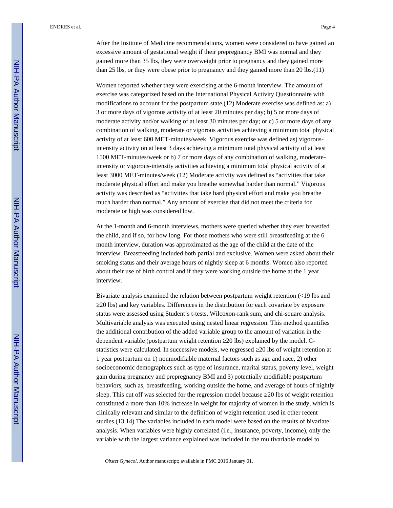After the Institute of Medicine recommendations, women were considered to have gained an excessive amount of gestational weight if their prepregnancy BMI was normal and they gained more than 35 lbs, they were overweight prior to pregnancy and they gained more than 25 lbs, or they were obese prior to pregnancy and they gained more than 20 lbs.(11)

Women reported whether they were exercising at the 6-month interview. The amount of exercise was categorized based on the International Physical Activity Questionnaire with modifications to account for the postpartum state.(12) Moderate exercise was defined as: a) 3 or more days of vigorous activity of at least 20 minutes per day; b) 5 or more days of moderate activity and/or walking of at least 30 minutes per day; or c) 5 or more days of any combination of walking, moderate or vigorous activities achieving a minimum total physical activity of at least 600 MET-minutes/week. Vigorous exercise was defined as) vigorousintensity activity on at least 3 days achieving a minimum total physical activity of at least 1500 MET-minutes/week or b) 7 or more days of any combination of walking, moderateintensity or vigorous-intensity activities achieving a minimum total physical activity of at least 3000 MET-minutes/week (12) Moderate activity was defined as "activities that take moderate physical effort and make you breathe somewhat harder than normal." Vigorous activity was described as "activities that take hard physical effort and make you breathe much harder than normal." Any amount of exercise that did not meet the criteria for moderate or high was considered low.

At the 1-month and 6-month interviews, mothers were queried whether they ever breastfed the child, and if so, for how long. For those mothers who were still breastfeeding at the 6 month interview, duration was approximated as the age of the child at the date of the interview. Breastfeeding included both partial and exclusive. Women were asked about their smoking status and their average hours of nightly sleep at 6 months. Women also reported about their use of birth control and if they were working outside the home at the 1 year interview.

Bivariate analysis examined the relation between postpartum weight retention (<19 lbs and ≥20 lbs) and key variables. Differences in the distribution for each covariate by exposure status were assessed using Student's t-tests, Wilcoxon-rank sum, and chi-square analysis. Multivariable analysis was executed using nested linear regression. This method quantifies the additional contribution of the added variable group to the amount of variation in the dependent variable (postpartum weight retention ≥20 lbs) explained by the model. Cstatistics were calculated. In successive models, we regressed 20 lbs of weight retention at 1 year postpartum on 1) nonmodifiable maternal factors such as age and race, 2) other socioeconomic demographics such as type of insurance, marital status, poverty level, weight gain during pregnancy and prepregnancy BMI and 3) potentially modifiable postpartum behaviors, such as, breastfeeding, working outside the home, and average of hours of nightly sleep. This cut off was selected for the regression model because 20 lbs of weight retention constituted a more than 10% increase in weight for majority of women in the study, which is clinically relevant and similar to the definition of weight retention used in other recent studies.(13,14) The variables included in each model were based on the results of bivariate analysis. When variables were highly correlated (i.e., insurance, poverty, income), only the variable with the largest variance explained was included in the multivariable model to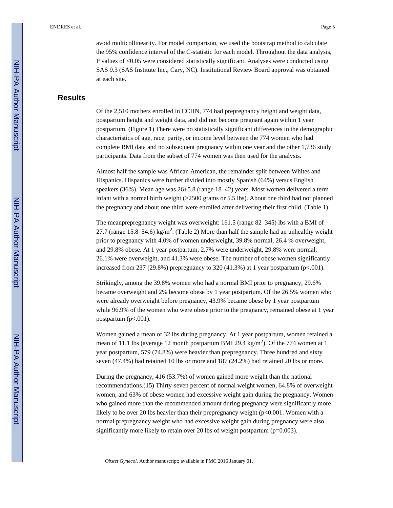avoid multicollinearity. For model comparison, we used the bootstrap method to calculate the 95% confidence interval of the C-statistic for each model. Throughout the data analysis, P values of <0.05 were considered statistically significant. Analyses were conducted using SAS 9.3 (SAS Institute Inc., Cary, NC). Institutional Review Board approval was obtained at each site.

# **Results**

Of the 2,510 mothers enrolled in CCHN, 774 had prepregnancy height and weight data, postpartum height and weight data, and did not become pregnant again within 1 year postpartum. (Figure 1) There were no statistically significant differences in the demographic characteristics of age, race, parity, or income level between the 774 women who had complete BMI data and no subsequent pregnancy within one year and the other 1,736 study participants. Data from the subset of 774 women was then used for the analysis.

Almost half the sample was African American, the remainder split between Whites and Hispanics. Hispanics were further divided into mostly Spanish (64%) versus English speakers (36%). Mean age was 26±5.8 (range 18–42) years. Most women delivered a term infant with a normal birth weight  $(>2500$  grams or 5.5 lbs). About one third had not planned the pregnancy and about one third were enrolled after delivering their first child. (Table 1)

The meanprepregnancy weight was overweight: 161.5 (range 82–345) lbs with a BMI of 27.7 (range 15.8–54.6) kg/m<sup>2</sup>. (Table 2) More than half the sample had an unhealthy weight prior to pregnancy with 4.0% of women underweight, 39.8% normal, 26.4 % overweight, and 29.8% obese. At 1 year postpartum, 2.7% were underweight, 29.8% were normal, 26.1% were overweight, and 41.3% were obese. The number of obese women significantly increased from 237 (29.8%) prepregnancy to 320 (41.3%) at 1 year postpartum ( $p<0.001$ ).

Strikingly, among the 39.8% women who had a normal BMI prior to pregnancy, 29.6% became overweight and 2% became obese by 1 year postpartum. Of the 26.5% women who were already overweight before pregnancy, 43.9% became obese by 1 year postpartum while 96.9% of the women who were obese prior to the pregnancy, remained obese at 1 year postpartum  $(p<.001)$ .

Women gained a mean of 32 lbs during pregnancy. At 1 year postpartum, women retained a mean of 11.1 lbs (average 12 month postpartum BMI 29.4 kg/m<sup>2</sup>). Of the 774 women at 1 year postpartum, 579 (74.8%) were heavier than prepregnancy. Three hundred and sixty seven (47.4%) had retained 10 lbs or more and 187 (24.2%) had retained 20 lbs or more.

During the pregnancy, 416 (53.7%) of women gained more weight than the national recommendations.(15) Thirty-seven percent of normal weight women, 64.8% of overweight women, and 63% of obese women had excessive weight gain during the pregnancy. Women who gained more than the recommended amount during pregnancy were significantly more likely to be over 20 lbs heavier than their prepregnancy weight (p<0.001. Women with a normal prepregnancy weight who had excessive weight gain during pregnancy were also significantly more likely to retain over 20 lbs of weight postpartum (p=0.003).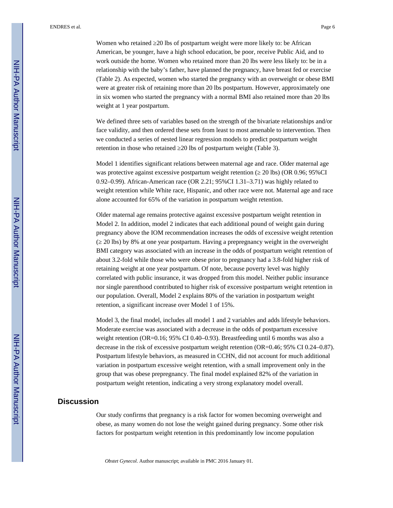ENDRES et al. Page 6

Women who retained 20 lbs of postpartum weight were more likely to: be African American, be younger, have a high school education, be poor, receive Public Aid, and to work outside the home. Women who retained more than 20 lbs were less likely to: be in a relationship with the baby's father, have planned the pregnancy, have breast fed or exercise (Table 2). As expected, women who started the pregnancy with an overweight or obese BMI were at greater risk of retaining more than 20 lbs postpartum. However, approximately one in six women who started the pregnancy with a normal BMI also retained more than 20 lbs weight at 1 year postpartum.

We defined three sets of variables based on the strength of the bivariate relationships and/or face validity, and then ordered these sets from least to most amenable to intervention. Then we conducted a series of nested linear regression models to predict postpartum weight retention in those who retained 20 lbs of postpartum weight (Table 3).

Model 1 identifies significant relations between maternal age and race. Older maternal age was protective against excessive postpartum weight retention ( $20 \text{ lbs}$ ) (OR 0.96; 95%CI 0.92–0.99). African-American race (OR 2.21; 95%CI 1.31–3.71) was highly related to weight retention while White race, Hispanic, and other race were not. Maternal age and race alone accounted for 65% of the variation in postpartum weight retention.

Older maternal age remains protective against excessive postpartum weight retention in Model 2. In addition, model 2 indicates that each additional pound of weight gain during pregnancy above the IOM recommendation increases the odds of excessive weight retention (≥ 20 lbs) by 8% at one year postpartum. Having a prepregnancy weight in the overweight BMI category was associated with an increase in the odds of postpartum weight retention of about 3.2-fold while those who were obese prior to pregnancy had a 3.8-fold higher risk of retaining weight at one year postpartum. Of note, because poverty level was highly correlated with public insurance, it was dropped from this model. Neither public insurance nor single parenthood contributed to higher risk of excessive postpartum weight retention in our population. Overall, Model 2 explains 80% of the variation in postpartum weight retention, a significant increase over Model 1 of 15%.

Model 3, the final model, includes all model 1 and 2 variables and adds lifestyle behaviors. Moderate exercise was associated with a decrease in the odds of postpartum excessive weight retention (OR=0.16; 95% CI 0.40–0.93). Breastfeeding until 6 months was also a decrease in the risk of excessive postpartum weight retention (OR=0.46; 95% CI 0.24–0.87). Postpartum lifestyle behaviors, as measured in CCHN, did not account for much additional variation in postpartum excessive weight retention, with a small improvement only in the group that was obese prepregnancy. The final model explained 82% of the variation in postpartum weight retention, indicating a very strong explanatory model overall.

#### **Discussion**

Our study confirms that pregnancy is a risk factor for women becoming overweight and obese, as many women do not lose the weight gained during pregnancy. Some other risk factors for postpartum weight retention in this predominantly low income population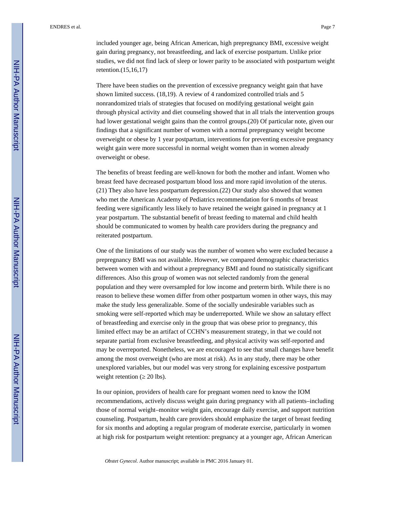included younger age, being African American, high prepregnancy BMI, excessive weight gain during pregnancy, not breastfeeding, and lack of exercise postpartum. Unlike prior studies, we did not find lack of sleep or lower parity to be associated with postpartum weight retention.(15,16,17)

There have been studies on the prevention of excessive pregnancy weight gain that have shown limited success. (18,19). A review of 4 randomized controlled trials and 5 nonrandomized trials of strategies that focused on modifying gestational weight gain through physical activity and diet counseling showed that in all trials the intervention groups had lower gestational weight gains than the control groups.(20) Of particular note, given our findings that a significant number of women with a normal prepregnancy weight become overweight or obese by 1 year postpartum, interventions for preventing excessive pregnancy weight gain were more successful in normal weight women than in women already overweight or obese.

The benefits of breast feeding are well-known for both the mother and infant. Women who breast feed have decreased postpartum blood loss and more rapid involution of the uterus. (21) They also have less postpartum depression.(22) Our study also showed that women who met the American Academy of Pediatrics recommendation for 6 months of breast feeding were significantly less likely to have retained the weight gained in pregnancy at 1 year postpartum. The substantial benefit of breast feeding to maternal and child health should be communicated to women by health care providers during the pregnancy and reiterated postpartum.

One of the limitations of our study was the number of women who were excluded because a prepregnancy BMI was not available. However, we compared demographic characteristics between women with and without a prepregnancy BMI and found no statistically significant differences. Also this group of women was not selected randomly from the general population and they were oversampled for low income and preterm birth. While there is no reason to believe these women differ from other postpartum women in other ways, this may make the study less generalizable. Some of the socially undesirable variables such as smoking were self-reported which may be underreported. While we show an salutary effect of breastfeeding and exercise only in the group that was obese prior to pregnancy, this limited effect may be an artifact of CCHN's measurement strategy, in that we could not separate partial from exclusive breastfeeding, and physical activity was self-reported and may be overreported. Nonetheless, we are encouraged to see that small changes have benefit among the most overweight (who are most at risk). As in any study, there may be other unexplored variables, but our model was very strong for explaining excessive postpartum weight retention (20 lbs).

In our opinion, providers of health care for pregnant women need to know the IOM recommendations, actively discuss weight gain during pregnancy with all patients–including those of normal weight–monitor weight gain, encourage daily exercise, and support nutrition counseling. Postpartum, health care providers should emphasize the target of breast feeding for six months and adopting a regular program of moderate exercise, particularly in women at high risk for postpartum weight retention: pregnancy at a younger age, African American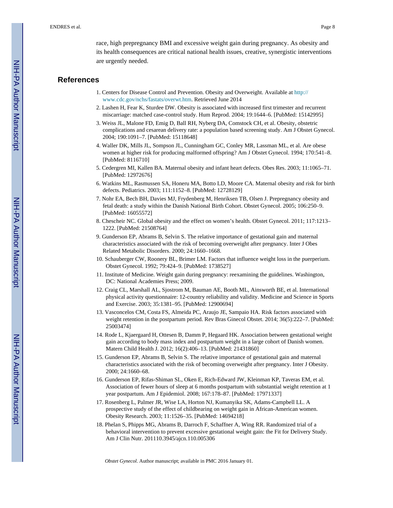race, high prepregnancy BMI and excessive weight gain during pregnancy. As obesity and its health consequences are critical national health issues, creative, synergistic interventions are urgently needed.

#### **References**

- 1. Centers for Disease Control and Prevention. Obesity and Overweight. Available at [http://](http://www.cdc.gov/nchs/fastats/overwt.htm) [www.cdc.gov/nchs/fastats/overwt.htm](http://www.cdc.gov/nchs/fastats/overwt.htm). Retrieved June 2014
- 2. Lashen H, Fear K, Sturdee DW. Obesity is associated with increased first trimester and recurrent miscarriage: matched case-control study. Hum Reprod. 2004; 19:1644–6. [PubMed: 15142995]
- 3. Weiss JL, Malone FD, Emig D, Ball RH, Nyberg DA, Comstock CH, et al. Obesity, obstetric complications and cesarean delivery rate: a population based screening study. Am J Obstet Gynecol. 2004; 190:1091–7. [PubMed: 15118648]
- 4. Waller DK, Mills JL, Sompson JL, Cunningham GC, Conley MR, Lassman ML, et al. Are obese women at higher risk for producing malformed offspring? Am J Obstet Gynecol. 1994; 170:541–8. [PubMed: 8116710]
- 5. Cedergren MI, Kallen BA. Maternal obesity and infant heart defects. Obes Res. 2003; 11:1065–71. [PubMed: 12972676]
- 6. Watkins ML, Rasmussen SA, Honeru MA, Botto LD, Moore CA. Maternal obesity and risk for birth defects. Pediatrics. 2003; 111:1152–8. [PubMed: 12728129]
- 7. Nohr EA, Bech BH, Davies MJ, Frydenberg M, Henriksen TB, Olsen J. Prepregnancy obesity and fetal death: a study within the Danish National Birth Cohort. Obstet Gynecol. 2005; 106:250–9. [PubMed: 16055572]
- 8. Chescheir NC. Global obesity and the effect on women's health. Obstet Gynecol. 2011; 117:1213– 1222. [PubMed: 21508764]
- 9. Gunderson EP, Abrams B, Selvin S. The relative importance of gestational gain and maternal characteristics associated with the risk of becoming overweight after pregnancy. Inter J Obes Related Metabolic Disorders. 2000; 24:1660–1668.
- 10. Schauberger CW, Roonery BL, Brimer LM. Factors that influence weight loss in the puerperium. Obstet Gynecol. 1992; 79:424–9. [PubMed: 1738527]
- 11. Institute of Medicine. Weight gain during pregnancy: reexamining the guidelines. Washington, DC: National Academies Press; 2009.
- 12. Craig CL, Marshall AL, Sjostrom M, Bauman AE, Booth ML, Ainsworth BE, et al. International physical activity questionnaire: 12-country reliability and validity. Medicine and Science in Sports and Exercise. 2003; 35:1381–95. [PubMed: 12900694]
- 13. Vasconcelos CM, Costa FS, Almeida PC, Araujo JE, Sampaio HA. Risk factors associated with weight retention in the postpartum period. Rev Bras Ginecol Obstet. 2014; 36(5):222–7. [PubMed: 25003474]
- 14. Rode L, Kjaergaard H, Ottesen B, Damm P, Hegaard HK. Association between gestational weight gain according to body mass index and postpartum weight in a large cohort of Danish women. Matern Child Health J. 2012; 16(2):406–13. [PubMed: 21431860]
- 15. Gunderson EP, Abrams B, Selvin S. The relative importance of gestational gain and maternal characteristics associated with the risk of becoming overweight after pregnancy. Inter J Obesity. 2000; 24:1660–68.
- 16. Gunderson EP, Rifas-Shiman SL, Oken E, Rich-Edward JW, Kleinman KP, Taveras EM, et al. Association of fewer hours of sleep at 6 months postpartum with substantial weight retention at 1 year postpartum. Am J Epidemiol. 2008; 167:178–87. [PubMed: 17971337]
- 17. Rosenberg L, Palmer JR, Wise LA, Horton NJ, Kumanyika SK, Adams-Campbell LL. A prospective study of the effect of childbearing on weight gain in African-American women. Obesity Research. 2003; 11:1526–35. [PubMed: 14694218]
- 18. Phelan S, Phipps MG, Abrams B, Darroch F, Schaffner A, Wing RR. Randomized trial of a behavioral intervention to prevent excessive gestational weight gain: the Fit for Delivery Study. Am J Clin Nutr. 201110.3945/ajcn.110.005306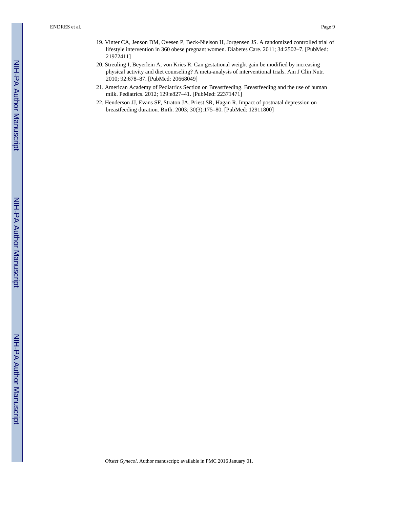- 19. Vinter CA, Jenson DM, Ovesen P, Beck-Nielson H, Jorgensen JS. A randomized controlled trial of lifestyle intervention in 360 obese pregnant women. Diabetes Care. 2011; 34:2502–7. [PubMed: 21972411]
- 20. Streuling I, Beyerlein A, von Kries R. Can gestational weight gain be modified by increasing physical activity and diet counseling? A meta-analysis of interventional trials. Am J Clin Nutr. 2010; 92:678–87. [PubMed: 20668049]
- 21. American Academy of Pediatrics Section on Breastfeeding. Breastfeeding and the use of human milk. Pediatrics. 2012; 129:e827–41. [PubMed: 22371471]
- 22. Henderson JJ, Evans SF, Straton JA, Priest SR, Hagan R. Impact of postnatal depression on breastfeeding duration. Birth. 2003; 30(3):175–80. [PubMed: 12911800]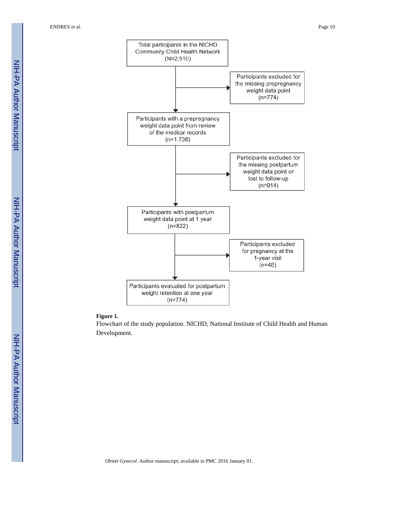ENDRES et al. Page 10



#### **Figure 1.**

Flowchart of the study population. NICHD, National Institute of Child Health and Human Development.

 NIH-PA Author ManuscriptNIH-PA Author Manuscript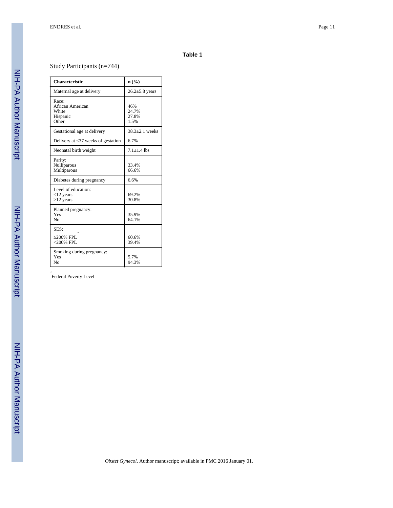#### **Table 1**

Study Participants (n=744)

| <b>Characteristic</b>                                   | n(%)                          |
|---------------------------------------------------------|-------------------------------|
| Maternal age at delivery                                | $26.2 \pm 5.8$ years          |
| Race:<br>African American<br>White<br>Hispanic<br>Other | 46%<br>24.7%<br>27.8%<br>1.5% |
| Gestational age at delivery                             | $38.3 + 2.1$ weeks            |
| Delivery at $\langle 37 \rangle$ weeks of gestation     | 6.7%                          |
| Neonatal birth weight                                   | $7.1 \pm 1.4$ lbs             |
| Parity:<br>Nulliparous<br>Multiparous                   | 33.4%<br>66.6%                |
| Diabetes during pregnancy                               | 6.6%                          |
| Level of education:<br>$<$ 12 years<br>$>12$ years      | 69.2%<br>30.8%                |
| Planned pregnancy:<br>Yes<br>No                         | 35.9%<br>64.1%                |
| SES:<br>200% FPL<br>$<$ 200% FPL                        | 60.6%<br>39.4%                |
| Smoking during pregnancy:<br>Yes<br>No                  | 5.7%<br>94.3%                 |

*ˆ* Federal Poverty Level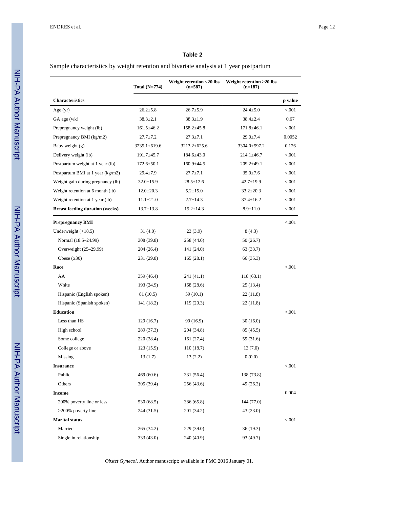#### **Table 2**

Sample characteristics by weight retention and bivariate analysis at 1 year postpartum

|                                        | Total $(N=774)$  | Weight retention <20 lbs<br>$(n=587)$ | Weight retention 20 lbs<br>$(n=187)$ |         |
|----------------------------------------|------------------|---------------------------------------|--------------------------------------|---------|
| <b>Characteristics</b>                 |                  |                                       |                                      | p value |
| Age (yr)                               | $26.2 \pm 5.8$   | $26.7 \pm 5.9$                        | $24.4 \pm 5.0$                       | < 0.001 |
| GA age (wk)                            | $38.3 \pm 2.1$   | $38.3 \pm 1.9$                        | $38.4 \pm 2.4$                       | 0.67    |
| Prepregnancy weight (lb)               | $161.5 \pm 46.2$ | $158.2 \pm 45.8$                      | $171.8 \pm 46.1$                     | < 0.001 |
| Prepregnancy BMI (kg/m2)               | $27.7 \pm 7.2$   | $27.3 \pm 7.1$                        | $29.0 \pm 7.4$                       | 0.0052  |
| Baby weight (g)                        | 3235.1±619.6     | $3213.2 \pm 625.6$                    | 3304.0±597.2                         | 0.126   |
| Delivery weight (lb)                   | $191.7 \pm 45.7$ | $184.6 \pm 43.0$                      | $214.1 \pm 46.7$                     | < 0.001 |
| Postpartum weight at 1 year (lb)       | $172.6 \pm 50.1$ | $160.9 \pm 44.5$                      | $209.2 \pm 49.1$                     | < 0.001 |
| Postpartum BMI at 1 year (kg/m2)       | $29.4 \pm 7.9$   | $27.7 \pm 7.1$                        | $35.0 \pm 7.6$                       | < 0.001 |
| Weight gain during pregnancy (lb)      | $32.0 \pm 15.9$  | $28.5 \pm 12.6$                       | $42.7 \pm 19.9$                      | < 0.001 |
| Weight retention at 6 month (lb)       | $12.0 \pm 20.3$  | $5.2 \pm 15.0$                        | $33.2 \pm 20.3$                      | < 0.001 |
| Weight retention at 1 year (lb)        | $11.1 \pm 21.0$  | $2.7 \pm 14.3$                        | $37.4 \pm 16.2$                      | < 0.001 |
| <b>Breast feeding duration (weeks)</b> | $13.7 \pm 13.8$  | $15.2 \pm 14.3$                       | $8.9 \pm 11.0$                       | < 0.001 |
| <b>Prepregnancy BMI</b>                |                  |                                       |                                      | < 0.001 |
| Underweight $(\leq 18.5)$              | 31(4.0)          | 23(3.9)                               | 8(4.3)                               |         |
| Normal (18.5-24.99)                    | 308 (39.8)       | 258 (44.0)                            | 50(26.7)                             |         |
| Overweight (25-29.99)                  | 204 (26.4)       | 141 (24.0)                            | 63 (33.7)                            |         |
| Obese $(30)$                           | 231 (29.8)       | 165(28.1)                             | 66 (35.3)                            |         |
| Race                                   |                  |                                       |                                      | < 0.001 |
| AA                                     | 359 (46.4)       | 241 (41.1)                            | 118(63.1)                            |         |
| White                                  | 193 (24.9)       | 168(28.6)                             | 25 (13.4)                            |         |
| Hispanic (English spoken)              | 81 (10.5)        | 59 (10.1)                             | 22 (11.8)                            |         |
| Hispanic (Spanish spoken)              | 141 (18.2)       | 119 (20.3)                            | 22 (11.8)                            |         |
| <b>Education</b>                       |                  |                                       |                                      | < 0.001 |
| Less than HS                           | 129(16.7)        | 99 (16.9)                             | 30(16.0)                             |         |
| High school                            | 289 (37.3)       | 204 (34.8)                            | 85 (45.5)                            |         |
| Some college                           | 220 (28.4)       | 161 (27.4)                            | 59 (31.6)                            |         |
| College or above                       | 123(15.9)        | 110(18.7)                             | 13(7.0)                              |         |
| Missing                                | 13(1.7)          | 13(2.2)                               | 0(0.0)                               |         |
| <b>Insurance</b>                       |                  |                                       |                                      | < 0.001 |
| Public                                 | 469 (60.6)       | 331 (56.4)                            | 138 (73.8)                           |         |
| Others                                 | 305 (39.4)       | 256 (43.6)                            | 49(26.2)                             |         |
| <b>Income</b>                          |                  |                                       |                                      | 0.004   |
| 200% poverty line or less              | 530 (68.5)       | 386 (65.8)                            | 144 (77.0)                           |         |
| $>200\%$ poverty line                  | 244 (31.5)       | 201 (34.2)                            | 43 (23.0)                            |         |
| <b>Marital status</b>                  |                  |                                       |                                      | < 0.001 |
| Married                                | 265 (34.2)       | 229 (39.0)                            | 36 (19.3)                            |         |
| Single in relationship                 | 333 (43.0)       | 240 (40.9)                            | 93 (49.7)                            |         |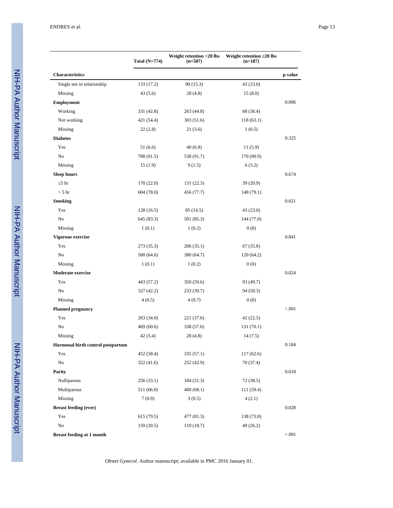|                                   | Total $(N=774)$ | Weight retention <20 lbs<br>$(n=587)$ | Weight retention 20 lbs<br>$(n=187)$ |         |
|-----------------------------------|-----------------|---------------------------------------|--------------------------------------|---------|
| <b>Characteristics</b>            |                 |                                       |                                      | p value |
| Single not in relationship        | 133 (17.2)      | 90(15.3)                              | 43 (23.0)                            |         |
| Missing                           | 43(5.6)         | 28(4.8)                               | 15(8.0)                              |         |
| Employment                        |                 |                                       |                                      | 0.006   |
| Working                           | 331 (42.8)      | 263 (44.8)                            | 68 (36.4)                            |         |
| Not working                       | 421 (54.4)      | 303 (51.6)                            | 118(63.1)                            |         |
| Missing                           | 22(2.8)         | 21(3.6)                               | 1(0.5)                               |         |
| <b>Diabetes</b>                   |                 |                                       |                                      | 0.325   |
| Yes                               | 51 (6.6)        | 40(6.8)                               | 11(5.9)                              |         |
| No                                | 708 (91.5)      | 538 (91.7)                            | 170 (90.9)                           |         |
| Missing                           | 15(1.9)         | 9(1.5)                                | 6(3.2)                               |         |
| <b>Sleep hours</b>                |                 |                                       |                                      | 0.674   |
| 5 <sub>hr</sub>                   | 170(22.0)       | 131 (22.3)                            | 39 (20.9)                            |         |
| $> 5$ hr                          | 604 (78.0)      | 456 (77.7)                            | 148 (79.1)                           |         |
| <b>Smoking</b>                    |                 |                                       |                                      | 0.021   |
| Yes                               | 128(16.5)       | 85 (14.5)                             | 43 (23.0)                            |         |
| No                                | 645 (83.3)      | 501 (85.3)                            | 144 (77.0)                           |         |
| Missing                           | 1(0.1)          | 1(0.2)                                | 0(0)                                 |         |
| Vigorous exercise                 |                 |                                       |                                      | 0.841   |
| Yes                               | 273 (35.3)      | 206(35.1)                             | 67(35.8)                             |         |
| No                                | 500(64.6)       | 380 (64.7)                            | 120(64.2)                            |         |
| Missing                           | 1(0.1)          | 1(0.2)                                | 0(0)                                 |         |
| <b>Moderate exercise</b>          |                 |                                       |                                      | 0.024   |
| Yes                               | 443 (57.2)      | 350 (59.6)                            | 93 (49.7)                            |         |
| No                                | 327 (42.2)      | 233 (39.7)                            | 94 (50.3)                            |         |
| Missing                           | 4(0.5)          | 4(0.7)                                | 0(0)                                 |         |
| <b>Planned pregnancy</b>          |                 |                                       |                                      | < 0.001 |
| Yes                               | 263 (34.0)      | 221 (37.6)                            | 42(22.5)                             |         |
| No                                | 469 (60.6)      | 338 (57.6)                            | 131 (70.1)                           |         |
| Missing                           | 42(5.4)         | 28(4.8)                               | 14(7.5)                              |         |
| Hormonal birth control postpartum |                 |                                       |                                      | 0.184   |
| Yes                               | 452 (58.4)      | 335(57.1)                             | 117(62.6)                            |         |
| $\rm No$                          | 322(41.6)       | 252 (42.9)                            | 70(37.4)                             |         |
| Parity                            |                 |                                       |                                      | 0.018   |
| Nulliparous                       | 256(33.1)       | 184 (31.3)                            | 72 (38.5)                            |         |
| Multiparous                       | 511 (66.0)      | 400(68.1)                             | 111 (59.4)                           |         |
| Missing                           | 7(0.9)          | 3(0.5)                                | 4(2.1)                               |         |
| <b>Breast feeding (ever)</b>      |                 |                                       |                                      | 0.028   |
| Yes                               | 615(79.5)       | 477 (81.3)                            | 138 (73.8)                           |         |
| $\rm No$                          | 159(20.5)       | 110(18.7)                             | 49 (26.2)                            |         |
| <b>Breast feeding at 1 month</b>  |                 |                                       |                                      | < .001  |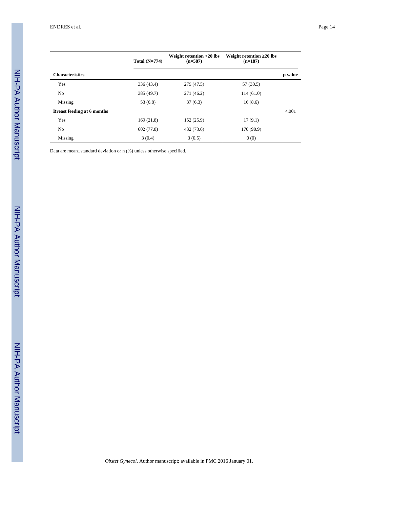|                                   | Total $(N=774)$ | Weight retention <20 lbs<br>$(n=587)$ | Weight retention 20 lbs<br>$(n=187)$ |         |
|-----------------------------------|-----------------|---------------------------------------|--------------------------------------|---------|
| <b>Characteristics</b>            |                 |                                       |                                      | p value |
| Yes                               | 336 (43.4)      | 279 (47.5)                            | 57 (30.5)                            |         |
| N <sub>0</sub>                    | 385 (49.7)      | 271 (46.2)                            | 114(61.0)                            |         |
| Missing                           | 53 (6.8)        | 37(6.3)                               | 16(8.6)                              |         |
| <b>Breast feeding at 6 months</b> |                 |                                       |                                      | < 0.001 |
| Yes                               | 169(21.8)       | 152(25.9)                             | 17(9.1)                              |         |
| N <sub>0</sub>                    | 602 (77.8)      | 432 (73.6)                            | 170 (90.9)                           |         |
| Missing                           | 3(0.4)          | 3(0.5)                                | 0(0)                                 |         |

Data are mean±standard deviation or n (%) unless otherwise specified.